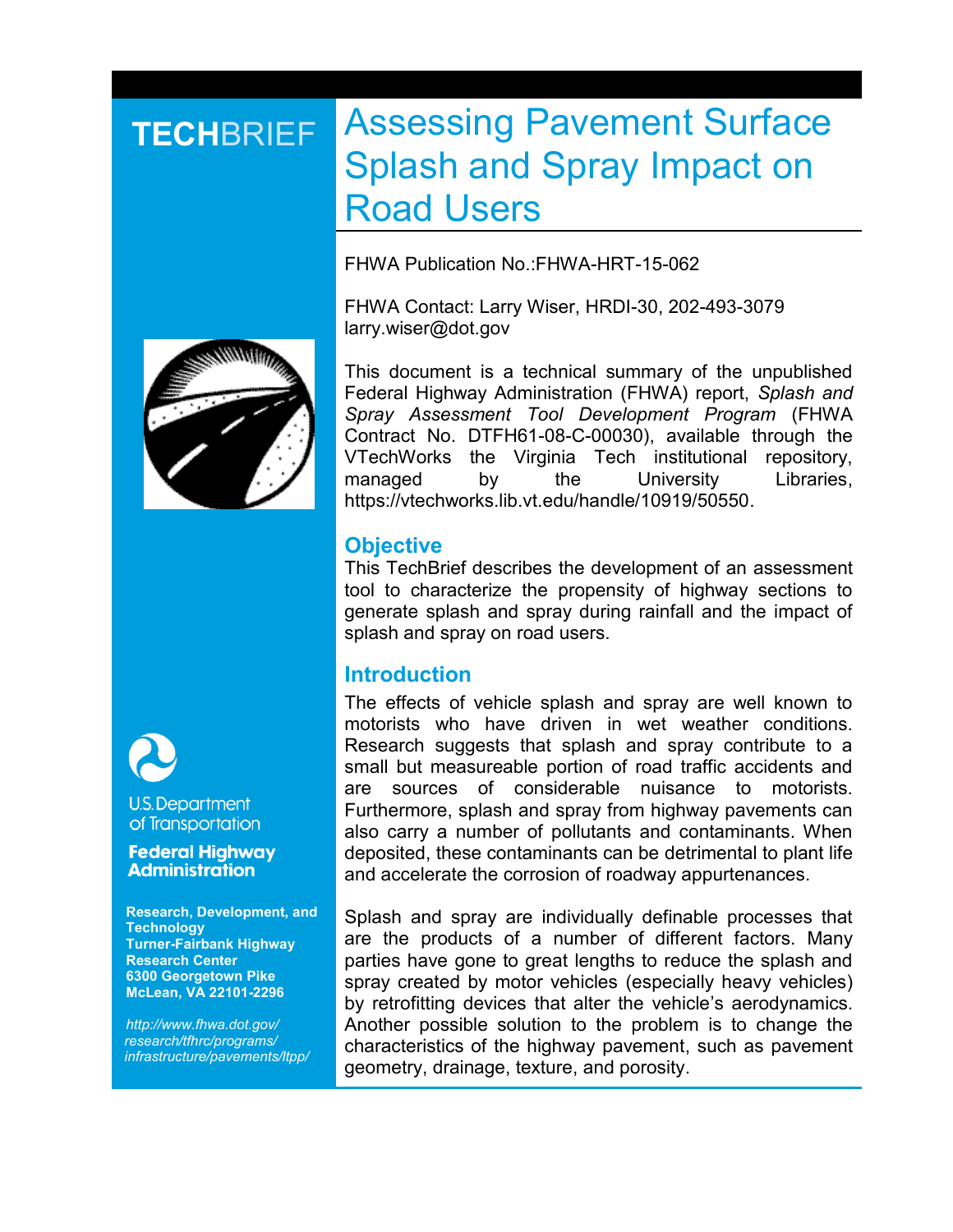# **TECHBRIEF Assessing Pavement Surface** Splash and Spray Impact on Road Users

FHWA Publication No.:FHWA-HRT-15-062

FHWA Contact: Larry Wiser, HRDI-30, 202-493-3079 larry.wiser@dot.gov



This document is a technical summary of the unpublished Federal Highway Administration (FHWA) report, *Splash and Spray Assessment Tool Development Program* (FHWA Contract No. DTFH61-08-C-00030), available through the VTechWorks the Virginia Tech institutional repository, managed by the University Libraries, https://vtechworks.lib.vt.edu/handle/10919/50550.

# **Objective**

This TechBrief describes the development of an assessment tool to characterize the propensity of highway sections to generate splash and spray during rainfall and the impact of splash and spray on road users.

# **Introduction**

The effects of vehicle splash and spray are well known to motorists who have driven in wet weather conditions. Research suggests that splash and spray contribute to a small but measureable portion of road traffic accidents and are sources of considerable nuisance to motorists. Furthermore, splash and spray from highway pavements can also carry a number of pollutants and contaminants. When deposited, these contaminants can be detrimental to plant life and accelerate the corrosion of roadway appurtenances.

Splash and spray are individually definable processes that are the products of a number of different factors. Many parties have gone to great lengths to reduce the splash and spray created by motor vehicles (especially heavy vehicles) by retrofitting devices that alter the vehicle's aerodynamics. Another possible solution to the problem is to change the characteristics of the highway pavement, such as pavement geometry, drainage, texture, and porosity.



## **U.S. Department** of Transportation

#### **Federal Highway Administration**

**Research, Development, and Technology Turner-Fairbank Highway Research Center 6300 Georgetown Pike McLean, VA 22101-2296**

*http://www.fhwa.dot.gov/ research/tfhrc/programs/ infrastructure/pavements/ltpp/*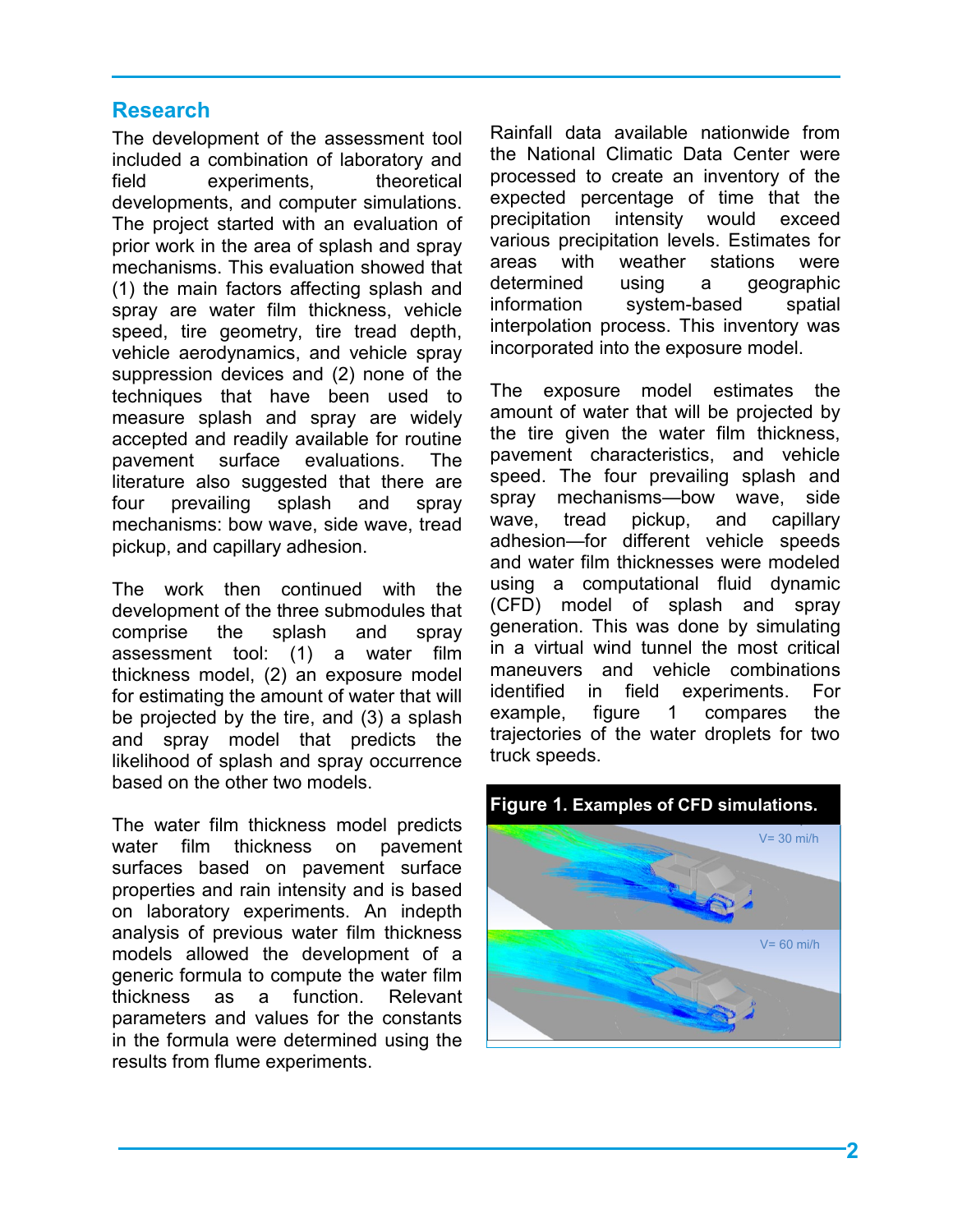# **Research**

The development of the assessment tool included a combination of laboratory and field experiments, theoretical developments, and computer simulations. The project started with an evaluation of prior work in the area of splash and spray mechanisms. This evaluation showed that (1) the main factors affecting splash and spray are water film thickness, vehicle speed, tire geometry, tire tread depth, vehicle aerodynamics, and vehicle spray suppression devices and (2) none of the techniques that have been used to measure splash and spray are widely accepted and readily available for routine pavement surface evaluations. The literature also suggested that there are four prevailing splash and spray mechanisms: bow wave, side wave, tread pickup, and capillary adhesion.

The work then continued with the development of the three submodules that comprise the splash and spray assessment tool: (1) a water film thickness model, (2) an exposure model for estimating the amount of water that will be projected by the tire, and (3) a splash and spray model that predicts the likelihood of splash and spray occurrence based on the other two models.

The water film thickness model predicts water film thickness on pavement surfaces based on pavement surface properties and rain intensity and is based on laboratory experiments. An indepth analysis of previous water film thickness models allowed the development of a generic formula to compute the water film thickness as a function. Relevant parameters and values for the constants in the formula were determined using the results from flume experiments.

Rainfall data available nationwide from the National Climatic Data Center were processed to create an inventory of the expected percentage of time that the precipitation intensity would exceed various precipitation levels. Estimates for areas with weather stations were determined using a geographic information system-based spatial interpolation process. This inventory was incorporated into the exposure model.

The exposure model estimates the amount of water that will be projected by the tire given the water film thickness, pavement characteristics, and vehicle speed. The four prevailing splash and spray mechanisms—bow wave, side wave, tread pickup, and capillary adhesion—for different vehicle speeds and water film thicknesses were modeled using a computational fluid dynamic (CFD) model of splash and spray generation. This was done by simulating in a virtual wind tunnel the most critical maneuvers and vehicle combinations identified in field experiments. For example, [figure 1](#page-1-0) compares the trajectories of the water droplets for two truck speeds.



<span id="page-1-0"></span>**Figure 1. Examples of CFD simulations.**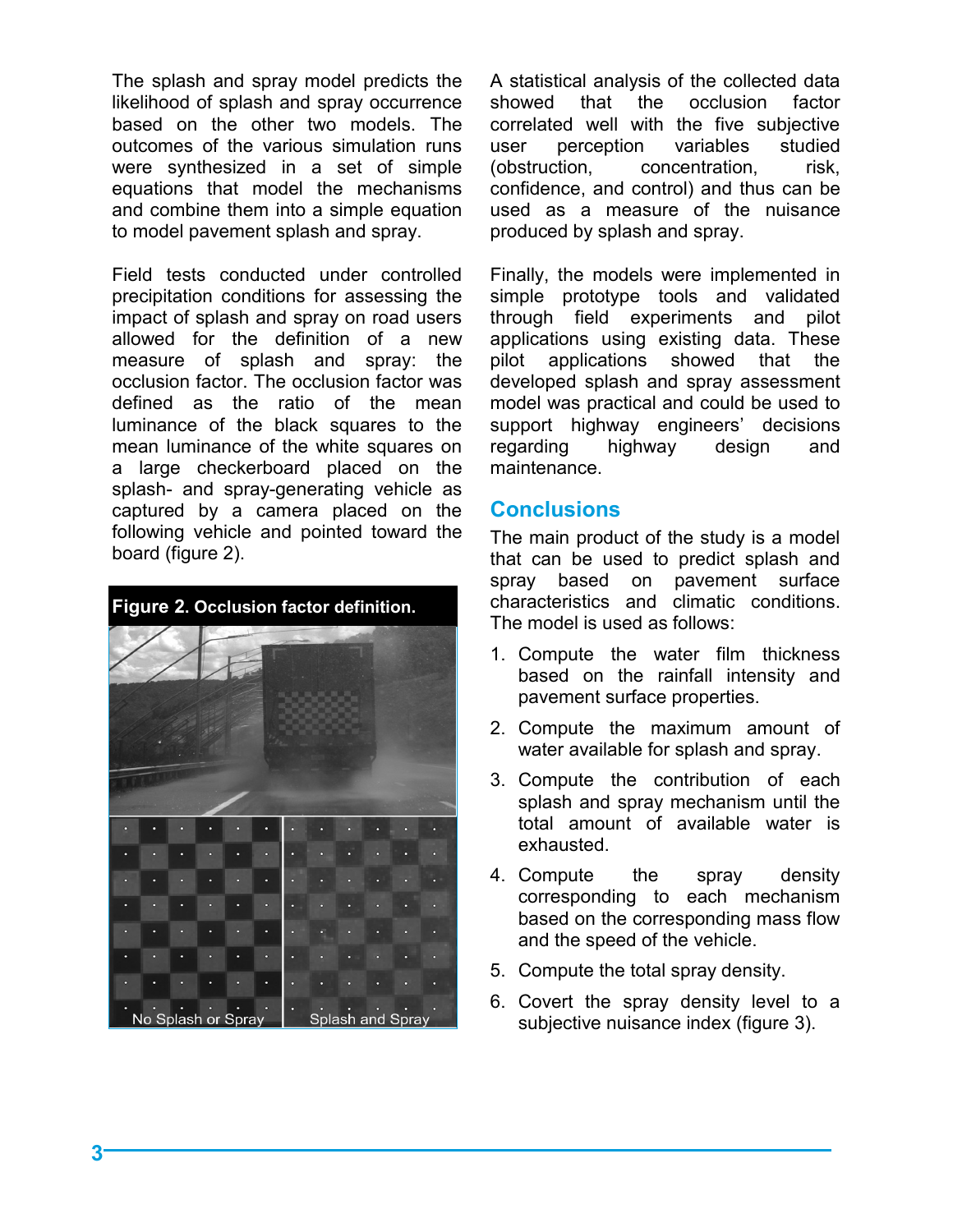The splash and spray model predicts the likelihood of splash and spray occurrence based on the other two models. The outcomes of the various simulation runs were synthesized in a set of simple equations that model the mechanisms and combine them into a simple equation to model pavement splash and spray.

Field tests conducted under controlled precipitation conditions for assessing the impact of splash and spray on road users allowed for the definition of a new measure of splash and spray: the occlusion factor. The occlusion factor was defined as the ratio of the mean luminance of the black squares to the mean luminance of the white squares on a large checkerboard placed on the splash- and spray-generating vehicle as captured by a camera placed on the following vehicle and pointed toward the board [\(figure 2\)](#page-2-0).

<span id="page-2-0"></span>

showed that the occlusion factor correlated well with the five subjective user perception variables studied (obstruction, concentration, risk, confidence, and control) and thus can be used as a measure of the nuisance produced by splash and spray.

A statistical analysis of the collected data

Finally, the models were implemented in simple prototype tools and validated through field experiments and pilot applications using existing data. These pilot applications showed that the developed splash and spray assessment model was practical and could be used to support highway engineers' decisions regarding highway design and maintenance.

# **Conclusions**

The main product of the study is a model that can be used to predict splash and spray based on pavement surface characteristics and climatic conditions. The model is used as follows:

- 1. Compute the water film thickness based on the rainfall intensity and pavement surface properties.
- 2. Compute the maximum amount of water available for splash and spray.
- 3. Compute the contribution of each splash and spray mechanism until the total amount of available water is exhausted.
- 4. Compute the spray density corresponding to each mechanism based on the corresponding mass flow and the speed of the vehicle.
- 5. Compute the total spray density.
- 6. Covert the spray density level to a subjective nuisance index [\(figure 3\)](#page-3-0).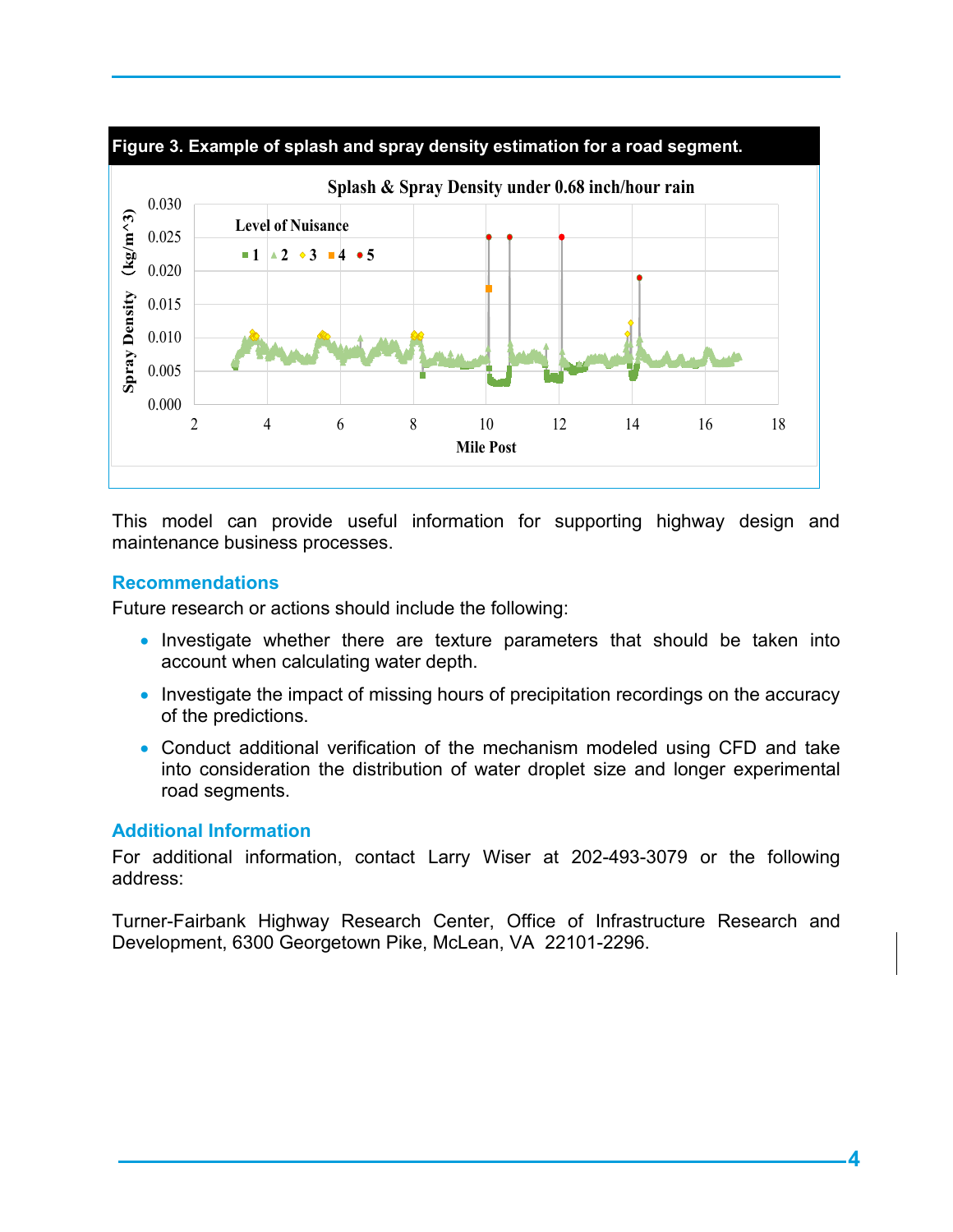<span id="page-3-0"></span>

This model can provide useful information for supporting highway design and maintenance business processes.

# **Recommendations**

Future research or actions should include the following:

- Investigate whether there are texture parameters that should be taken into account when calculating water depth.
- Investigate the impact of missing hours of precipitation recordings on the accuracy of the predictions.
- Conduct additional verification of the mechanism modeled using CFD and take into consideration the distribution of water droplet size and longer experimental road segments.

### **Additional Information**

For additional information, contact Larry Wiser at 202-493-3079 or the following address:

Turner-Fairbank Highway Research Center, Office of Infrastructure Research and Development, 6300 Georgetown Pike, McLean, VA 22101-2296.